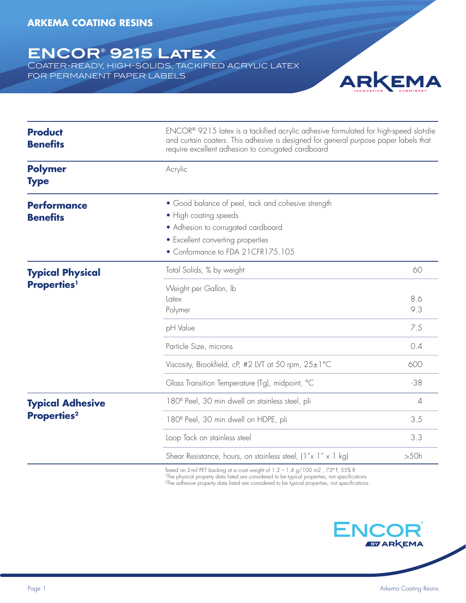## **ENCOR® 9215 Latex**

Coater-ready, high-solids, tackified acrylic latex for permanent paper labels



| <b>Product</b><br><b>Benefits</b>                         | ENCOR® 9215 latex is a tackified acrylic adhesive formulated for high-speed slot-die<br>and curtain coaters. This adhesive is designed for general purpose paper labels that<br>require excellent adhesion to corrugated cardboard<br>Acrylic |                |
|-----------------------------------------------------------|-----------------------------------------------------------------------------------------------------------------------------------------------------------------------------------------------------------------------------------------------|----------------|
| <b>Polymer</b><br><b>Type</b>                             |                                                                                                                                                                                                                                               |                |
| <b>Performance</b><br><b>Benefits</b>                     | • Good balance of peel, tack and cohesive strength<br>• High coating speeds<br>• Adhesion to corrugated cardboard<br>• Excellent converting properties<br>• Conformance to FDA 21CFR175.105                                                   |                |
| <b>Typical Physical</b><br><b>Properties</b> <sup>1</sup> | Total Solids, % by weight                                                                                                                                                                                                                     | 60             |
|                                                           | Weight per Gallon, Ib<br>Latex<br>Polymer                                                                                                                                                                                                     | 8.6<br>9.3     |
|                                                           | pH Value                                                                                                                                                                                                                                      | 7.5            |
|                                                           | Particle Size, microns                                                                                                                                                                                                                        | 0.4            |
|                                                           | Viscosity, Brookfield, cP, #2 LVT at 50 rpm, 25±1°C                                                                                                                                                                                           | 600            |
|                                                           | Glass Transition Temperature (Tg), midpoint, °C                                                                                                                                                                                               | $-38$          |
| <b>Typical Adhesive</b><br><b>Properties<sup>2</sup></b>  | 180 <sup>°</sup> Peel, 30 min dwell on stainless steel, pli                                                                                                                                                                                   | $\overline{4}$ |
|                                                           | 180 <sup>°</sup> Peel, 30 min dwell on HDPE, pli                                                                                                                                                                                              | 3.5            |
|                                                           | Loop Tack on stainless steel                                                                                                                                                                                                                  | 3.3            |
|                                                           | Shear Resistance, hours, on stainless steel, $(1'' \times 1'' \times 1$ kg)                                                                                                                                                                   | >50h           |

Tested on 2-mil PET backing at a coat weight of 1.2 – 1.4 g/100 in2 , 73° F, 55% R<br>'The physical property data listed are considered to be typical properties, not specifications 2The adhesive property data listed are considered to be typical properties, not specifications.

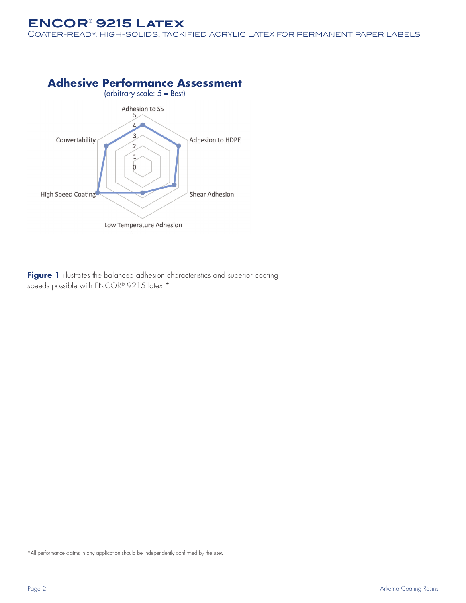## **ENCOR® 9215 Latex**

Coater-ready, high-solids, tackified acrylic latex for permanent paper labels



Figure 1 illustrates the balanced adhesion characteristics and superior coating speeds possible with ENCOR® 9215 latex.\*

\*All performance claims in any application should be independently confirmed by the user.